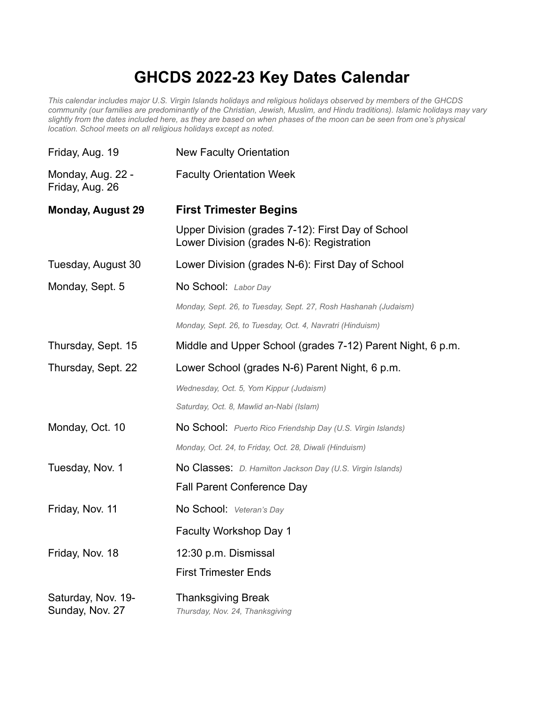## **GHCDS 2022-23 Key Dates Calendar**

*This calendar includes major U.S. Virgin Islands holidays and religious holidays observed by members of the GHCDS community (our families are predominantly of the Christian, Jewish, Muslim, and Hindu traditions). Islamic holidays may vary slightly from the dates included here, as they are based on when phases of the moon can be seen from one's physical location. School meets on all religious holidays except as noted.*

| Friday, Aug. 19                       | <b>New Faculty Orientation</b>                                                                 |
|---------------------------------------|------------------------------------------------------------------------------------------------|
| Monday, Aug. 22 -<br>Friday, Aug. 26  | <b>Faculty Orientation Week</b>                                                                |
| <b>Monday, August 29</b>              | <b>First Trimester Begins</b>                                                                  |
|                                       | Upper Division (grades 7-12): First Day of School<br>Lower Division (grades N-6): Registration |
| Tuesday, August 30                    | Lower Division (grades N-6): First Day of School                                               |
| Monday, Sept. 5                       | No School: Labor Day                                                                           |
|                                       | Monday, Sept. 26, to Tuesday, Sept. 27, Rosh Hashanah (Judaism)                                |
|                                       | Monday, Sept. 26, to Tuesday, Oct. 4, Navratri (Hinduism)                                      |
| Thursday, Sept. 15                    | Middle and Upper School (grades 7-12) Parent Night, 6 p.m.                                     |
| Thursday, Sept. 22                    | Lower School (grades N-6) Parent Night, 6 p.m.                                                 |
|                                       | Wednesday, Oct. 5, Yom Kippur (Judaism)                                                        |
|                                       | Saturday, Oct. 8, Mawlid an-Nabi (Islam)                                                       |
| Monday, Oct. 10                       | No School: Puerto Rico Friendship Day (U.S. Virgin Islands)                                    |
|                                       | Monday, Oct. 24, to Friday, Oct. 28, Diwali (Hinduism)                                         |
| Tuesday, Nov. 1                       | <b>No Classes:</b> D. Hamilton Jackson Day (U.S. Virgin Islands)                               |
|                                       | <b>Fall Parent Conference Day</b>                                                              |
| Friday, Nov. 11                       | No School: Veteran's Day                                                                       |
|                                       | Faculty Workshop Day 1                                                                         |
| Friday, Nov. 18                       | 12:30 p.m. Dismissal                                                                           |
|                                       | <b>First Trimester Ends</b>                                                                    |
| Saturday, Nov. 19-<br>Sunday, Nov. 27 | <b>Thanksgiving Break</b><br>Thursday, Nov. 24, Thanksgiving                                   |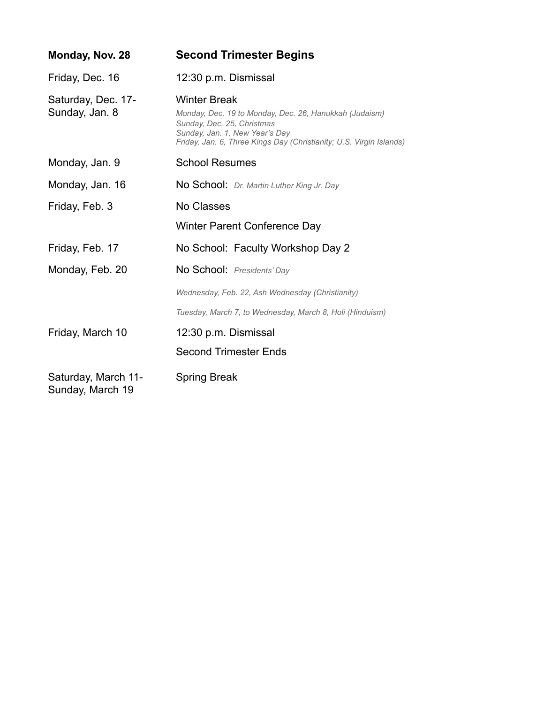| Monday, Nov. 28                         | <b>Second Trimester Begins</b>                                                                                                                                                                                       |
|-----------------------------------------|----------------------------------------------------------------------------------------------------------------------------------------------------------------------------------------------------------------------|
| Friday, Dec. 16                         | 12:30 p.m. Dismissal                                                                                                                                                                                                 |
| Saturday, Dec. 17-<br>Sunday, Jan. 8    | <b>Winter Break</b><br>Monday, Dec. 19 to Monday, Dec. 26, Hanukkah (Judaism)<br>Sunday, Dec. 25, Christmas<br>Sunday, Jan. 1, New Year's Day<br>Friday, Jan. 6, Three Kings Day (Christianity; U.S. Virgin Islands) |
| Monday, Jan. 9                          | <b>School Resumes</b>                                                                                                                                                                                                |
| Monday, Jan. 16                         | No School: Dr. Martin Luther King Jr. Day                                                                                                                                                                            |
| Friday, Feb. 3                          | No Classes                                                                                                                                                                                                           |
|                                         | Winter Parent Conference Day                                                                                                                                                                                         |
| Friday, Feb. 17                         | No School: Faculty Workshop Day 2                                                                                                                                                                                    |
| Monday, Feb. 20                         | No School: Presidents' Day                                                                                                                                                                                           |
|                                         | Wednesday, Feb. 22, Ash Wednesday (Christianity)                                                                                                                                                                     |
|                                         | Tuesday, March 7, to Wednesday, March 8, Holi (Hinduism)                                                                                                                                                             |
| Friday, March 10                        | 12:30 p.m. Dismissal                                                                                                                                                                                                 |
|                                         | <b>Second Trimester Ends</b>                                                                                                                                                                                         |
| Saturday, March 11-<br>Sunday, March 19 | <b>Spring Break</b>                                                                                                                                                                                                  |